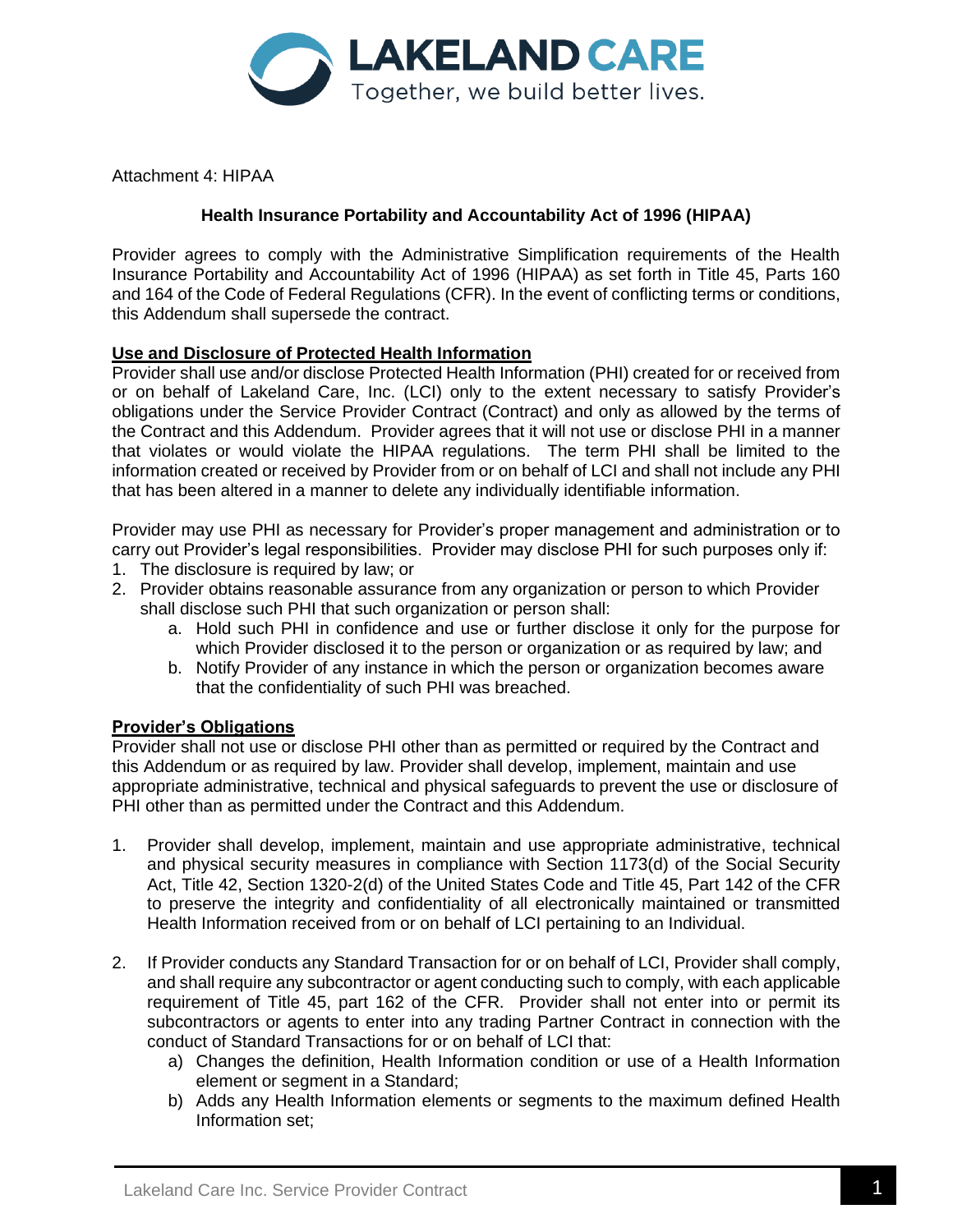

Attachment 4: HIPAA

# **Health Insurance Portability and Accountability Act of 1996 (HIPAA)**

Provider agrees to comply with the Administrative Simplification requirements of the Health Insurance Portability and Accountability Act of 1996 (HIPAA) as set forth in Title 45, Parts 160 and 164 of the Code of Federal Regulations (CFR). In the event of conflicting terms or conditions, this Addendum shall supersede the contract.

## **Use and Disclosure of Protected Health Information**

Provider shall use and/or disclose Protected Health Information (PHI) created for or received from or on behalf of Lakeland Care, Inc. (LCI) only to the extent necessary to satisfy Provider's obligations under the Service Provider Contract (Contract) and only as allowed by the terms of the Contract and this Addendum. Provider agrees that it will not use or disclose PHI in a manner that violates or would violate the HIPAA regulations. The term PHI shall be limited to the information created or received by Provider from or on behalf of LCI and shall not include any PHI that has been altered in a manner to delete any individually identifiable information.

Provider may use PHI as necessary for Provider's proper management and administration or to carry out Provider's legal responsibilities. Provider may disclose PHI for such purposes only if:

- 1. The disclosure is required by law; or
- 2. Provider obtains reasonable assurance from any organization or person to which Provider shall disclose such PHI that such organization or person shall:
	- a. Hold such PHI in confidence and use or further disclose it only for the purpose for which Provider disclosed it to the person or organization or as required by law; and
	- b. Notify Provider of any instance in which the person or organization becomes aware that the confidentiality of such PHI was breached.

## **Provider's Obligations**

Provider shall not use or disclose PHI other than as permitted or required by the Contract and this Addendum or as required by law. Provider shall develop, implement, maintain and use appropriate administrative, technical and physical safeguards to prevent the use or disclosure of PHI other than as permitted under the Contract and this Addendum.

- 1. Provider shall develop, implement, maintain and use appropriate administrative, technical and physical security measures in compliance with Section 1173(d) of the Social Security Act, Title 42, Section 1320-2(d) of the United States Code and Title 45, Part 142 of the CFR to preserve the integrity and confidentiality of all electronically maintained or transmitted Health Information received from or on behalf of LCI pertaining to an Individual.
- 2. If Provider conducts any Standard Transaction for or on behalf of LCI, Provider shall comply, and shall require any subcontractor or agent conducting such to comply, with each applicable requirement of Title 45, part 162 of the CFR. Provider shall not enter into or permit its subcontractors or agents to enter into any trading Partner Contract in connection with the conduct of Standard Transactions for or on behalf of LCI that:
	- a) Changes the definition, Health Information condition or use of a Health Information element or segment in a Standard;
	- b) Adds any Health Information elements or segments to the maximum defined Health Information set;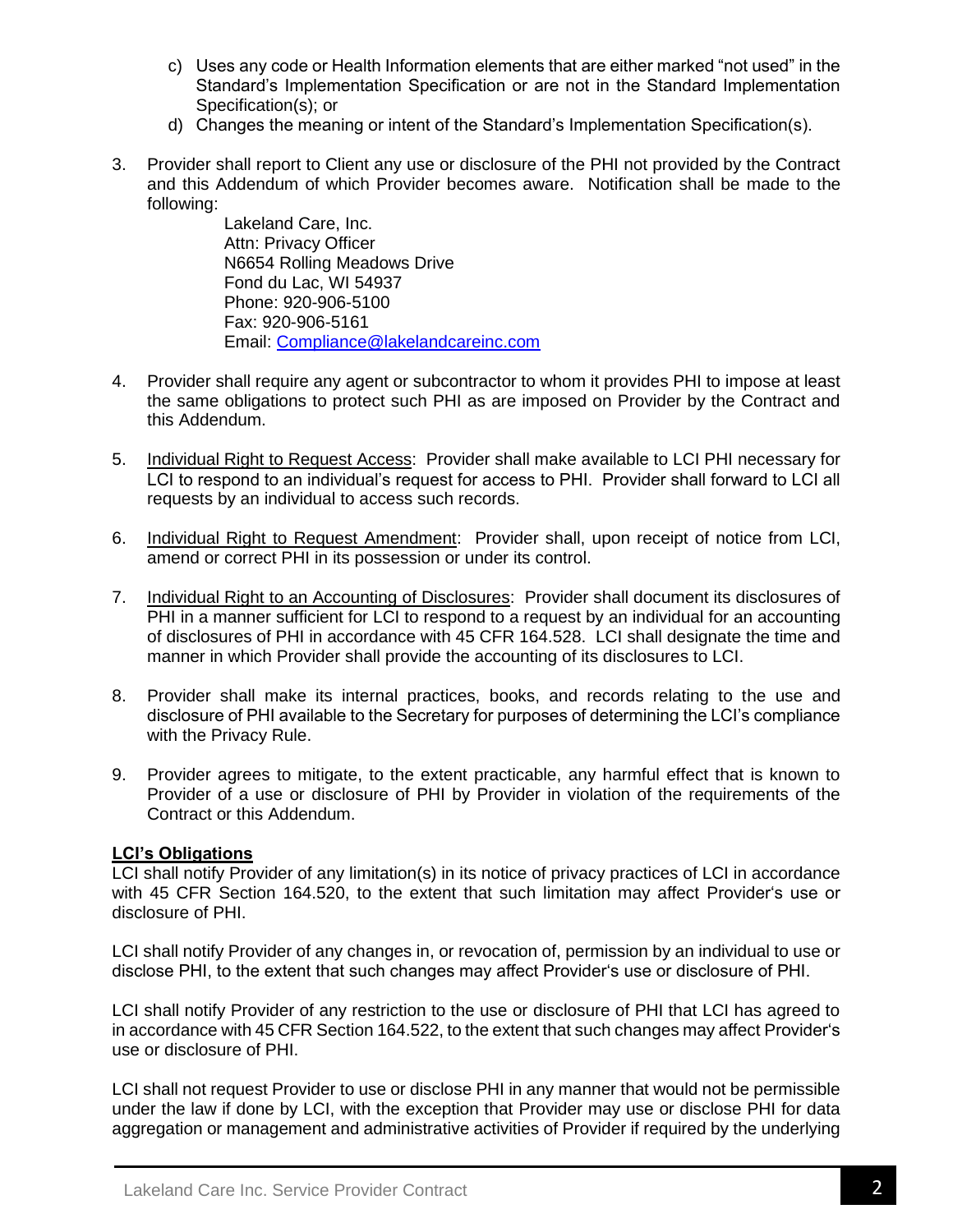- c) Uses any code or Health Information elements that are either marked "not used" in the Standard's Implementation Specification or are not in the Standard Implementation Specification(s); or
- d) Changes the meaning or intent of the Standard's Implementation Specification(s).
- 3. Provider shall report to Client any use or disclosure of the PHI not provided by the Contract and this Addendum of which Provider becomes aware. Notification shall be made to the following:

Lakeland Care, Inc. Attn: Privacy Officer N6654 Rolling Meadows Drive Fond du Lac, WI 54937 Phone: 920-906-5100 Fax: 920-906-5161 Email: [Compliance@lakelandcareinc.com](mailto:Compliance@lakelandcareinc.com)

- 4. Provider shall require any agent or subcontractor to whom it provides PHI to impose at least the same obligations to protect such PHI as are imposed on Provider by the Contract and this Addendum.
- 5. Individual Right to Request Access: Provider shall make available to LCI PHI necessary for LCI to respond to an individual's request for access to PHI. Provider shall forward to LCI all requests by an individual to access such records.
- 6. Individual Right to Request Amendment: Provider shall, upon receipt of notice from LCI, amend or correct PHI in its possession or under its control.
- 7. Individual Right to an Accounting of Disclosures: Provider shall document its disclosures of PHI in a manner sufficient for LCI to respond to a request by an individual for an accounting of disclosures of PHI in accordance with 45 CFR 164.528. LCI shall designate the time and manner in which Provider shall provide the accounting of its disclosures to LCI.
- 8. Provider shall make its internal practices, books, and records relating to the use and disclosure of PHI available to the Secretary for purposes of determining the LCI's compliance with the Privacy Rule.
- 9. Provider agrees to mitigate, to the extent practicable, any harmful effect that is known to Provider of a use or disclosure of PHI by Provider in violation of the requirements of the Contract or this Addendum.

## **LCI's Obligations**

LCI shall notify Provider of any limitation(s) in its notice of privacy practices of LCI in accordance with 45 CFR Section 164.520, to the extent that such limitation may affect Provider's use or disclosure of PHI.

LCI shall notify Provider of any changes in, or revocation of, permission by an individual to use or disclose PHI, to the extent that such changes may affect Provider's use or disclosure of PHI.

LCI shall notify Provider of any restriction to the use or disclosure of PHI that LCI has agreed to in accordance with 45 CFR Section 164.522, to the extent that such changes may affect Provider's use or disclosure of PHI.

LCI shall not request Provider to use or disclose PHI in any manner that would not be permissible under the law if done by LCI, with the exception that Provider may use or disclose PHI for data aggregation or management and administrative activities of Provider if required by the underlying